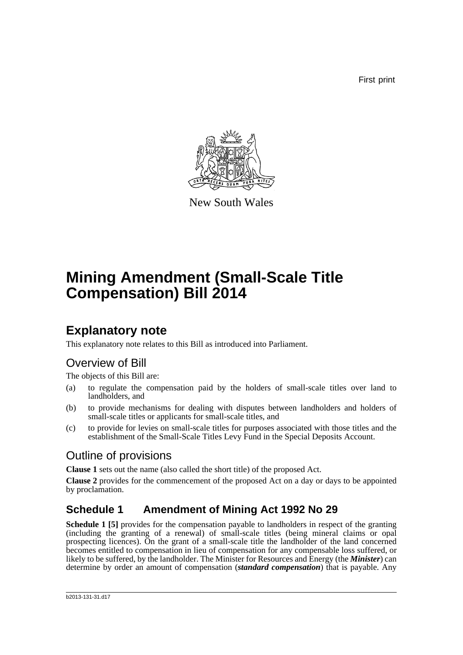First print



New South Wales

# **Mining Amendment (Small-Scale Title Compensation) Bill 2014**

## **Explanatory note**

This explanatory note relates to this Bill as introduced into Parliament.

### Overview of Bill

The objects of this Bill are:

- (a) to regulate the compensation paid by the holders of small-scale titles over land to landholders, and
- (b) to provide mechanisms for dealing with disputes between landholders and holders of small-scale titles or applicants for small-scale titles, and
- (c) to provide for levies on small-scale titles for purposes associated with those titles and the establishment of the Small-Scale Titles Levy Fund in the Special Deposits Account.

### Outline of provisions

**Clause 1** sets out the name (also called the short title) of the proposed Act.

**Clause 2** provides for the commencement of the proposed Act on a day or days to be appointed by proclamation.

### **Schedule 1 Amendment of Mining Act 1992 No 29**

**Schedule 1 [5]** provides for the compensation payable to landholders in respect of the granting (including the granting of a renewal) of small-scale titles (being mineral claims or opal prospecting licences). On the grant of a small-scale title the landholder of the land concerned becomes entitled to compensation in lieu of compensation for any compensable loss suffered, or likely to be suffered, by the landholder. The Minister for Resources and Energy (the *Minister*) can determine by order an amount of compensation (*standard compensation*) that is payable. Any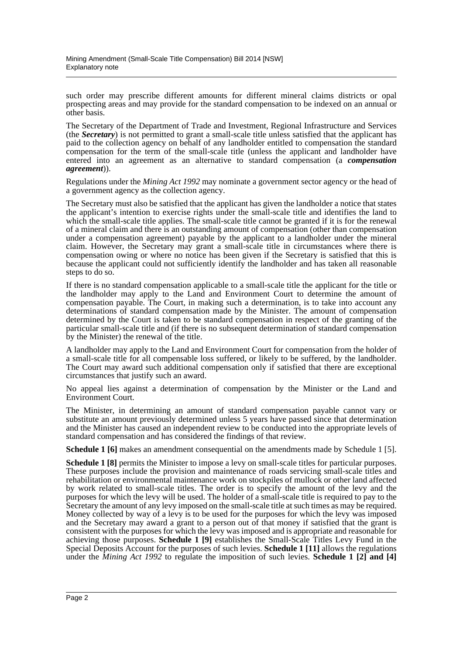such order may prescribe different amounts for different mineral claims districts or opal prospecting areas and may provide for the standard compensation to be indexed on an annual or other basis.

The Secretary of the Department of Trade and Investment, Regional Infrastructure and Services (the *Secretary*) is not permitted to grant a small-scale title unless satisfied that the applicant has paid to the collection agency on behalf of any landholder entitled to compensation the standard compensation for the term of the small-scale title (unless the applicant and landholder have entered into an agreement as an alternative to standard compensation (a *compensation agreement*)).

Regulations under the *Mining Act 1992* may nominate a government sector agency or the head of a government agency as the collection agency.

The Secretary must also be satisfied that the applicant has given the landholder a notice that states the applicant's intention to exercise rights under the small-scale title and identifies the land to which the small-scale title applies. The small-scale title cannot be granted if it is for the renewal of a mineral claim and there is an outstanding amount of compensation (other than compensation under a compensation agreement) payable by the applicant to a landholder under the mineral claim. However, the Secretary may grant a small-scale title in circumstances where there is compensation owing or where no notice has been given if the Secretary is satisfied that this is because the applicant could not sufficiently identify the landholder and has taken all reasonable steps to do so.

If there is no standard compensation applicable to a small-scale title the applicant for the title or the landholder may apply to the Land and Environment Court to determine the amount of compensation payable. The Court, in making such a determination, is to take into account any determinations of standard compensation made by the Minister. The amount of compensation determined by the Court is taken to be standard compensation in respect of the granting of the particular small-scale title and (if there is no subsequent determination of standard compensation by the Minister) the renewal of the title.

A landholder may apply to the Land and Environment Court for compensation from the holder of a small-scale title for all compensable loss suffered, or likely to be suffered, by the landholder. The Court may award such additional compensation only if satisfied that there are exceptional circumstances that justify such an award.

No appeal lies against a determination of compensation by the Minister or the Land and Environment Court.

The Minister, in determining an amount of standard compensation payable cannot vary or substitute an amount previously determined unless 5 years have passed since that determination and the Minister has caused an independent review to be conducted into the appropriate levels of standard compensation and has considered the findings of that review.

**Schedule 1 [6]** makes an amendment consequential on the amendments made by Schedule 1 [5].

**Schedule 1 [8]** permits the Minister to impose a levy on small-scale titles for particular purposes. These purposes include the provision and maintenance of roads servicing small-scale titles and rehabilitation or environmental maintenance work on stockpiles of mullock or other land affected by work related to small-scale titles. The order is to specify the amount of the levy and the purposes for which the levy will be used. The holder of a small-scale title is required to pay to the Secretary the amount of any levy imposed on the small-scale title at such times as may be required. Money collected by way of a levy is to be used for the purposes for which the levy was imposed and the Secretary may award a grant to a person out of that money if satisfied that the grant is consistent with the purposes for which the levy was imposed and is appropriate and reasonable for achieving those purposes. **Schedule 1 [9]** establishes the Small-Scale Titles Levy Fund in the Special Deposits Account for the purposes of such levies. **Schedule 1 [11]** allows the regulations under the *Mining Act 1992* to regulate the imposition of such levies. **Schedule 1 [2] and [4]**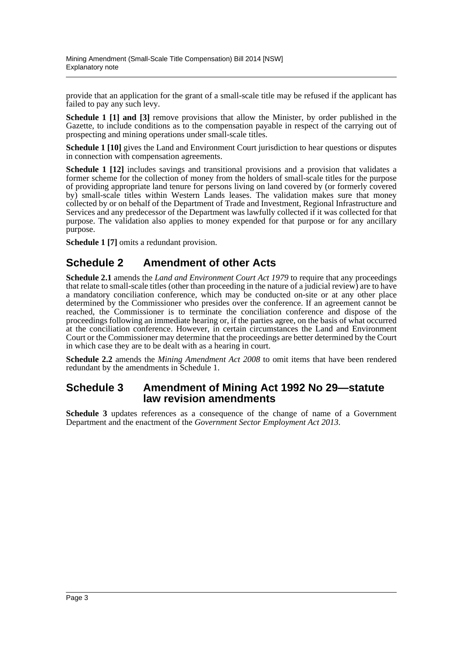provide that an application for the grant of a small-scale title may be refused if the applicant has failed to pay any such levy.

**Schedule 1 [1] and [3]** remove provisions that allow the Minister, by order published in the Gazette, to include conditions as to the compensation payable in respect of the carrying out of prospecting and mining operations under small-scale titles.

**Schedule 1 [10]** gives the Land and Environment Court jurisdiction to hear questions or disputes in connection with compensation agreements.

**Schedule 1 [12]** includes savings and transitional provisions and a provision that validates a former scheme for the collection of money from the holders of small-scale titles for the purpose of providing appropriate land tenure for persons living on land covered by (or formerly covered by) small-scale titles within Western Lands leases. The validation makes sure that money collected by or on behalf of the Department of Trade and Investment, Regional Infrastructure and Services and any predecessor of the Department was lawfully collected if it was collected for that purpose. The validation also applies to money expended for that purpose or for any ancillary purpose.

**Schedule 1 [7]** omits a redundant provision.

### **Schedule 2 Amendment of other Acts**

**Schedule 2.1** amends the *Land and Environment Court Act 1979* to require that any proceedings that relate to small-scale titles (other than proceeding in the nature of a judicial review) are to have a mandatory conciliation conference, which may be conducted on-site or at any other place determined by the Commissioner who presides over the conference. If an agreement cannot be reached, the Commissioner is to terminate the conciliation conference and dispose of the proceedings following an immediate hearing or, if the parties agree, on the basis of what occurred at the conciliation conference. However, in certain circumstances the Land and Environment Court or the Commissioner may determine that the proceedings are better determined by the Court in which case they are to be dealt with as a hearing in court.

**Schedule 2.2** amends the *Mining Amendment Act 2008* to omit items that have been rendered redundant by the amendments in Schedule 1.

### **Schedule 3 Amendment of Mining Act 1992 No 29—statute law revision amendments**

**Schedule 3** updates references as a consequence of the change of name of a Government Department and the enactment of the *Government Sector Employment Act 2013*.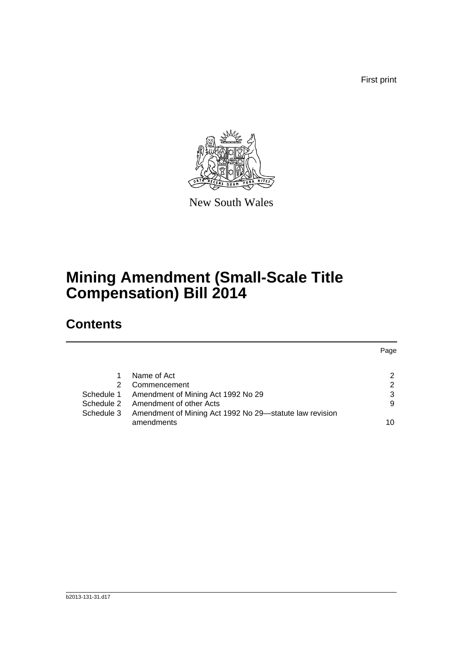First print



New South Wales

## **Mining Amendment (Small-Scale Title Compensation) Bill 2014**

## **Contents**

|            |                                                         | Page |
|------------|---------------------------------------------------------|------|
|            |                                                         |      |
|            | Name of Act                                             | 2    |
|            | Commencement                                            | 2    |
| Schedule 1 | Amendment of Mining Act 1992 No 29                      | 3    |
|            | Schedule 2 Amendment of other Acts                      | 9    |
| Schedule 3 | Amendment of Mining Act 1992 No 29-statute law revision |      |
|            | amendments                                              | 10   |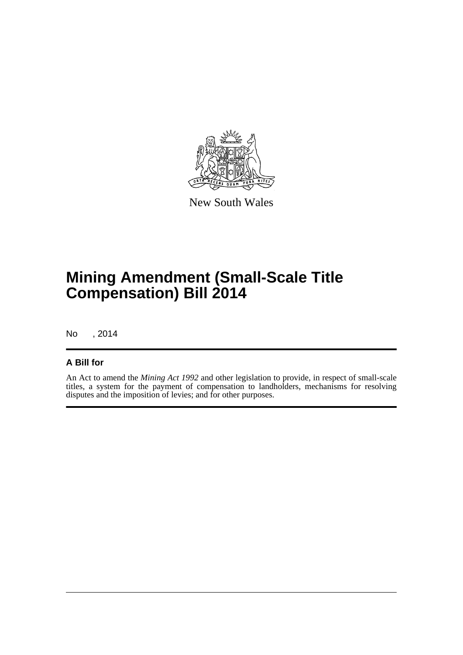

New South Wales

## **Mining Amendment (Small-Scale Title Compensation) Bill 2014**

No , 2014

#### **A Bill for**

An Act to amend the *Mining Act 1992* and other legislation to provide, in respect of small-scale titles, a system for the payment of compensation to landholders, mechanisms for resolving disputes and the imposition of levies; and for other purposes.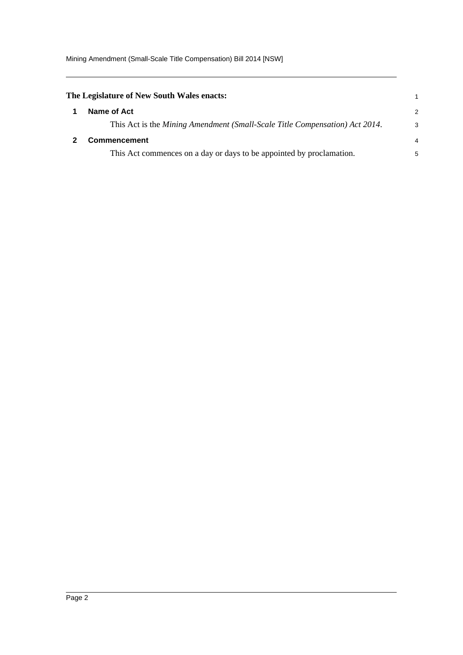Mining Amendment (Small-Scale Title Compensation) Bill 2014 [NSW]

<span id="page-5-1"></span><span id="page-5-0"></span>

| The Legislature of New South Wales enacts:                                  | 1              |
|-----------------------------------------------------------------------------|----------------|
| Name of Act                                                                 | 2              |
| This Act is the Mining Amendment (Small-Scale Title Compensation) Act 2014. | 3              |
| <b>Commencement</b>                                                         | $\overline{4}$ |
| This Act commences on a day or days to be appointed by proclamation.        | 5              |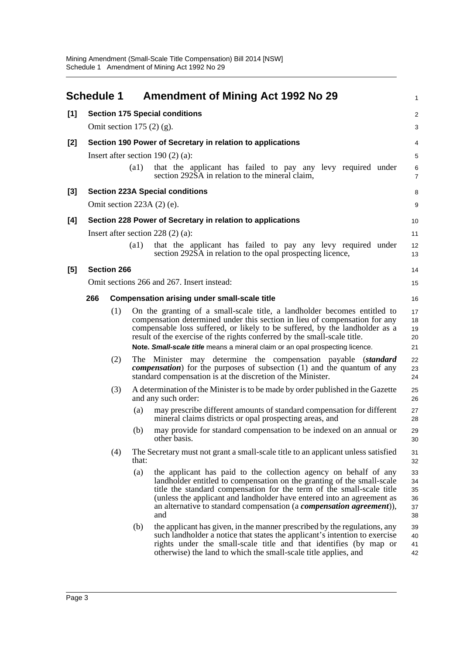<span id="page-6-0"></span>

|                                        | <b>Schedule 1</b> |                    |                    | <b>Amendment of Mining Act 1992 No 29</b>                                                                                                                                                                                                                                                                                                                                                          | 1                                |
|----------------------------------------|-------------------|--------------------|--------------------|----------------------------------------------------------------------------------------------------------------------------------------------------------------------------------------------------------------------------------------------------------------------------------------------------------------------------------------------------------------------------------------------------|----------------------------------|
| [1]                                    |                   |                    |                    | <b>Section 175 Special conditions</b>                                                                                                                                                                                                                                                                                                                                                              | $\overline{c}$                   |
|                                        |                   |                    |                    | Omit section $175(2)(g)$ .                                                                                                                                                                                                                                                                                                                                                                         | 3                                |
| $[2]$                                  |                   |                    |                    | Section 190 Power of Secretary in relation to applications                                                                                                                                                                                                                                                                                                                                         | 4                                |
| Insert after section 190 $(2)$ $(a)$ : |                   |                    |                    |                                                                                                                                                                                                                                                                                                                                                                                                    | 5                                |
|                                        |                   |                    | $\left( a1\right)$ | that the applicant has failed to pay any levy required under<br>section 292SA in relation to the mineral claim,                                                                                                                                                                                                                                                                                    | 6<br>$\overline{7}$              |
| [3]                                    |                   |                    |                    | <b>Section 223A Special conditions</b>                                                                                                                                                                                                                                                                                                                                                             | 8                                |
|                                        |                   |                    |                    | Omit section $223A(2)$ (e).                                                                                                                                                                                                                                                                                                                                                                        | 9                                |
| [4]                                    |                   |                    |                    | Section 228 Power of Secretary in relation to applications                                                                                                                                                                                                                                                                                                                                         | 10                               |
|                                        |                   |                    |                    | Insert after section $228(2)(a)$ :                                                                                                                                                                                                                                                                                                                                                                 | 11                               |
|                                        |                   |                    | $\left( a1\right)$ | that the applicant has failed to pay any levy required under<br>section 292SA in relation to the opal prospecting licence,                                                                                                                                                                                                                                                                         | 12<br>13                         |
| [5]                                    |                   | <b>Section 266</b> |                    |                                                                                                                                                                                                                                                                                                                                                                                                    | 14                               |
|                                        |                   |                    |                    | Omit sections 266 and 267. Insert instead:                                                                                                                                                                                                                                                                                                                                                         | 15                               |
|                                        | 266               |                    |                    | <b>Compensation arising under small-scale title</b>                                                                                                                                                                                                                                                                                                                                                | 16                               |
|                                        |                   | (1)                |                    | On the granting of a small-scale title, a landholder becomes entitled to<br>compensation determined under this section in lieu of compensation for any<br>compensable loss suffered, or likely to be suffered, by the landholder as a<br>result of the exercise of the rights conferred by the small-scale title.<br>Note. Small-scale title means a mineral claim or an opal prospecting licence. | 17<br>18<br>19<br>20<br>21       |
|                                        |                   | (2)                | The                | Minister may determine the compensation payable ( <i>standard</i><br><i>compensation</i> ) for the purposes of subsection (1) and the quantum of any<br>standard compensation is at the discretion of the Minister.                                                                                                                                                                                | 22<br>23<br>24                   |
|                                        |                   | (3)                |                    | A determination of the Minister is to be made by order published in the Gazette<br>and any such order:                                                                                                                                                                                                                                                                                             | 25<br>26                         |
|                                        |                   |                    | (a)                | may prescribe different amounts of standard compensation for different<br>mineral claims districts or opal prospecting areas, and                                                                                                                                                                                                                                                                  | 27<br>28                         |
|                                        |                   |                    | (b)                | may provide for standard compensation to be indexed on an annual or<br>other basis.                                                                                                                                                                                                                                                                                                                | 29<br>30                         |
|                                        |                   | (4)                | that:              | The Secretary must not grant a small-scale title to an applicant unless satisfied                                                                                                                                                                                                                                                                                                                  | 31<br>32                         |
|                                        |                   |                    | (a)                | the applicant has paid to the collection agency on behalf of any<br>landholder entitled to compensation on the granting of the small-scale<br>title the standard compensation for the term of the small-scale title<br>(unless the applicant and landholder have entered into an agreement as<br>an alternative to standard compensation (a <i>compensation agreement</i> )),<br>and               | 33<br>34<br>35<br>36<br>37<br>38 |
|                                        |                   |                    | (b)                | the applicant has given, in the manner prescribed by the regulations, any<br>such landholder a notice that states the applicant's intention to exercise<br>rights under the small-scale title and that identifies (by map or<br>otherwise) the land to which the small-scale title applies, and                                                                                                    | 39<br>40<br>41<br>42             |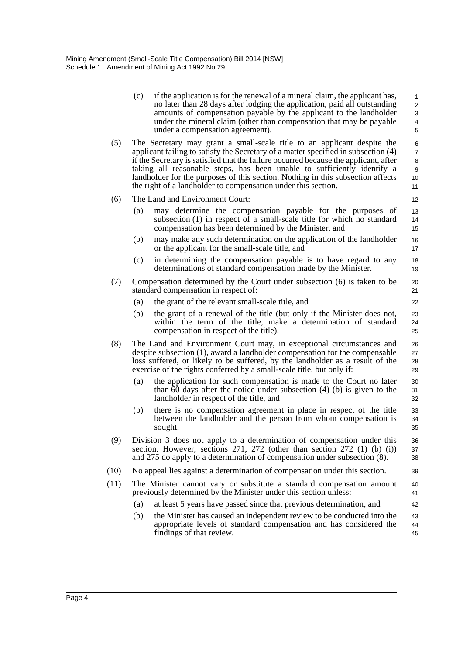- (c) if the application is for the renewal of a mineral claim, the applicant has, no later than 28 days after lodging the application, paid all outstanding amounts of compensation payable by the applicant to the landholder under the mineral claim (other than compensation that may be payable under a compensation agreement).
- (5) The Secretary may grant a small-scale title to an applicant despite the applicant failing to satisfy the Secretary of a matter specified in subsection (4) if the Secretary is satisfied that the failure occurred because the applicant, after taking all reasonable steps, has been unable to sufficiently identify a landholder for the purposes of this section. Nothing in this subsection affects the right of a landholder to compensation under this section. 10 11

39

42

- (6) The Land and Environment Court:
	- (a) may determine the compensation payable for the purposes of subsection (1) in respect of a small-scale title for which no standard compensation has been determined by the Minister, and
	- (b) may make any such determination on the application of the landholder or the applicant for the small-scale title, and
	- (c) in determining the compensation payable is to have regard to any determinations of standard compensation made by the Minister.
- (7) Compensation determined by the Court under subsection (6) is taken to be standard compensation in respect of:
	- (a) the grant of the relevant small-scale title, and
	- (b) the grant of a renewal of the title (but only if the Minister does not, within the term of the title, make a determination of standard compensation in respect of the title).
- (8) The Land and Environment Court may, in exceptional circumstances and despite subsection (1), award a landholder compensation for the compensable loss suffered, or likely to be suffered, by the landholder as a result of the exercise of the rights conferred by a small-scale title, but only if:
	- (a) the application for such compensation is made to the Court no later than 60 days after the notice under subsection (4) (b) is given to the landholder in respect of the title, and
	- (b) there is no compensation agreement in place in respect of the title between the landholder and the person from whom compensation is sought.
- (9) Division 3 does not apply to a determination of compensation under this section. However, sections 271, 272 (other than section 272 (1) (b) (i)) and 275 do apply to a determination of compensation under subsection (8). 36 37 38
- (10) No appeal lies against a determination of compensation under this section.
- (11) The Minister cannot vary or substitute a standard compensation amount previously determined by the Minister under this section unless: 40 41
	- (a) at least 5 years have passed since that previous determination, and
	- (b) the Minister has caused an independent review to be conducted into the appropriate levels of standard compensation and has considered the findings of that review. 43 44 45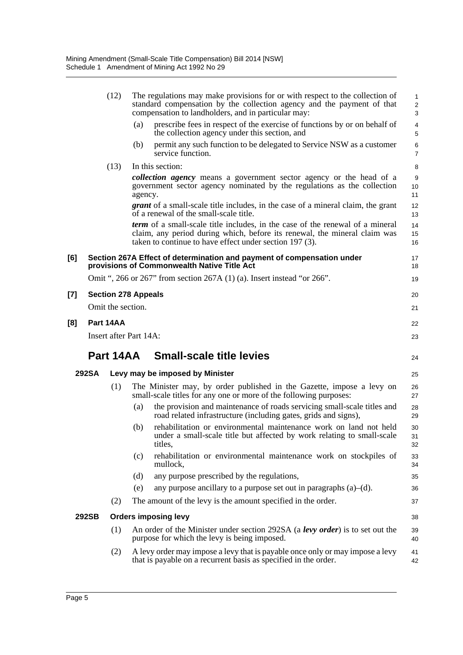|     |              | (12)                       |         | The regulations may make provisions for or with respect to the collection of<br>standard compensation by the collection agency and the payment of that<br>compensation to landholders, and in particular may:                | $\mathbf{1}$<br>$\overline{c}$<br>3 |
|-----|--------------|----------------------------|---------|------------------------------------------------------------------------------------------------------------------------------------------------------------------------------------------------------------------------------|-------------------------------------|
|     |              |                            | (a)     | prescribe fees in respect of the exercise of functions by or on behalf of<br>the collection agency under this section, and                                                                                                   | $\overline{4}$<br>5                 |
|     |              |                            | (b)     | permit any such function to be delegated to Service NSW as a customer<br>service function.                                                                                                                                   | 6<br>$\overline{7}$                 |
|     |              | (13)                       |         | In this section:                                                                                                                                                                                                             | 8                                   |
|     |              |                            | agency. | collection agency means a government sector agency or the head of a<br>government sector agency nominated by the regulations as the collection                                                                               | 9<br>10<br>11                       |
|     |              |                            |         | <i>grant</i> of a small-scale title includes, in the case of a mineral claim, the grant<br>of a renewal of the small-scale title.                                                                                            | 12<br>13                            |
|     |              |                            |         | <b>term</b> of a small-scale title includes, in the case of the renewal of a mineral<br>claim, any period during which, before its renewal, the mineral claim was<br>taken to continue to have effect under section 197 (3). | 14<br>15<br>16                      |
| [6] |              |                            |         | Section 267A Effect of determination and payment of compensation under<br>provisions of Commonwealth Native Title Act                                                                                                        | 17<br>18                            |
|     |              |                            |         | Omit ", 266 or 267" from section 267A $(1)$ (a). Insert instead "or 266".                                                                                                                                                    | 19                                  |
| [7] |              | <b>Section 278 Appeals</b> |         |                                                                                                                                                                                                                              | 20                                  |
|     |              | Omit the section.          |         |                                                                                                                                                                                                                              | 21                                  |
| [8] |              | Part 14AA                  |         |                                                                                                                                                                                                                              | 22                                  |
|     |              | Insert after Part 14A:     |         |                                                                                                                                                                                                                              | 23                                  |
|     |              | Part 14AA                  |         | <b>Small-scale title levies</b>                                                                                                                                                                                              | 24                                  |
|     | <b>292SA</b> |                            |         | Levy may be imposed by Minister                                                                                                                                                                                              | 25                                  |
|     |              | (1)                        |         | The Minister may, by order published in the Gazette, impose a levy on<br>small-scale titles for any one or more of the following purposes:                                                                                   | 26<br>27                            |
|     |              |                            | (a)     | the provision and maintenance of roads servicing small-scale titles and<br>road related infrastructure (including gates, grids and signs),                                                                                   | 28<br>29                            |
|     |              |                            | (b)     | rehabilitation or environmental maintenance work on land not held<br>under a small-scale title but affected by work relating to small-scale<br>titles,                                                                       | 30<br>31<br>32                      |
|     |              |                            | (c)     | rehabilitation or environmental maintenance work on stockpiles of<br>mullock,                                                                                                                                                | 33<br>34                            |
|     |              |                            | (d)     | any purpose prescribed by the regulations,                                                                                                                                                                                   | 35                                  |
|     |              |                            | (e)     | any purpose ancillary to a purpose set out in paragraphs $(a)$ – $(d)$ .                                                                                                                                                     | 36                                  |
|     |              | (2)                        |         | The amount of the levy is the amount specified in the order.                                                                                                                                                                 | 37                                  |
|     | 292SB        |                            |         | <b>Orders imposing levy</b>                                                                                                                                                                                                  | 38                                  |
|     |              | (1)                        |         | An order of the Minister under section 292SA (a levy order) is to set out the<br>purpose for which the levy is being imposed.                                                                                                | 39<br>40                            |
|     |              | (2)                        |         | A levy order may impose a levy that is payable once only or may impose a levy<br>that is payable on a recurrent basis as specified in the order.                                                                             | 41<br>42                            |

**[7] Section 278 Appeals**

**[8]**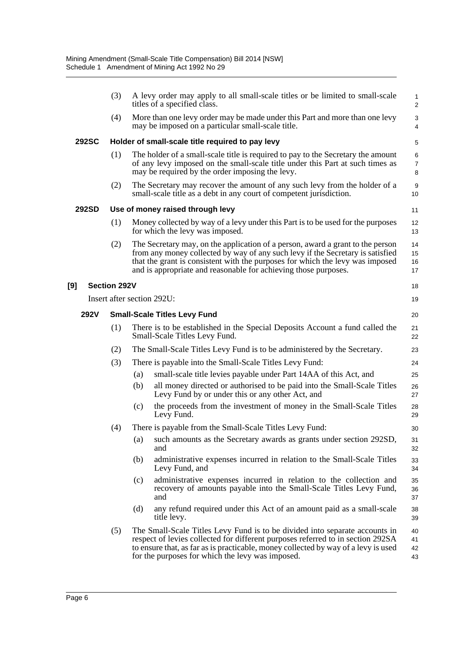|             | (3)                 | A levy order may apply to all small-scale titles or be limited to small-scale<br>titles of a specified class.                                                                                                                                                                                                        | $\mathbf{1}$<br>2        |
|-------------|---------------------|----------------------------------------------------------------------------------------------------------------------------------------------------------------------------------------------------------------------------------------------------------------------------------------------------------------------|--------------------------|
|             | (4)                 | More than one levy order may be made under this Part and more than one levy<br>may be imposed on a particular small-scale title.                                                                                                                                                                                     | 3<br>4                   |
| 292SC       |                     | Holder of small-scale title required to pay levy                                                                                                                                                                                                                                                                     | $\mathbf 5$              |
|             | (1)                 | The holder of a small-scale title is required to pay to the Secretary the amount<br>of any levy imposed on the small-scale title under this Part at such times as<br>may be required by the order imposing the levy.                                                                                                 | 6<br>$\overline{7}$<br>8 |
|             | (2)                 | The Secretary may recover the amount of any such levy from the holder of a<br>small-scale title as a debt in any court of competent jurisdiction.                                                                                                                                                                    | 9<br>10                  |
| 292SD       |                     | Use of money raised through levy                                                                                                                                                                                                                                                                                     | 11                       |
|             | (1)                 | Money collected by way of a levy under this Part is to be used for the purposes<br>for which the levy was imposed.                                                                                                                                                                                                   | 12<br>13                 |
|             | (2)                 | The Secretary may, on the application of a person, award a grant to the person<br>from any money collected by way of any such levy if the Secretary is satisfied<br>that the grant is consistent with the purposes for which the levy was imposed<br>and is appropriate and reasonable for achieving those purposes. | 14<br>15<br>16<br>17     |
|             | <b>Section 292V</b> |                                                                                                                                                                                                                                                                                                                      | 18                       |
|             |                     | Insert after section 292U:                                                                                                                                                                                                                                                                                           | 19                       |
| <b>292V</b> |                     | <b>Small-Scale Titles Levy Fund</b>                                                                                                                                                                                                                                                                                  | 20                       |
|             | (1)                 | There is to be established in the Special Deposits Account a fund called the<br>Small-Scale Titles Levy Fund.                                                                                                                                                                                                        | 21<br>22                 |
|             | (2)                 | The Small-Scale Titles Levy Fund is to be administered by the Secretary.                                                                                                                                                                                                                                             | 23                       |
|             | (3)                 | There is payable into the Small-Scale Titles Levy Fund:                                                                                                                                                                                                                                                              | 24                       |
|             |                     | small-scale title levies payable under Part 14AA of this Act, and<br>(a)                                                                                                                                                                                                                                             | 25                       |
|             |                     | (b)<br>all money directed or authorised to be paid into the Small-Scale Titles<br>Levy Fund by or under this or any other Act, and                                                                                                                                                                                   | 26<br>27                 |
|             |                     | the proceeds from the investment of money in the Small-Scale Titles<br>(c)<br>Levy Fund.                                                                                                                                                                                                                             | 28<br>29                 |
|             | (4)                 | There is payable from the Small-Scale Titles Levy Fund:                                                                                                                                                                                                                                                              | 30                       |
|             |                     | such amounts as the Secretary awards as grants under section 292SD,<br>(a)<br>and                                                                                                                                                                                                                                    | 31<br>32                 |
|             |                     | administrative expenses incurred in relation to the Small-Scale Titles<br>(b)<br>Levy Fund, and                                                                                                                                                                                                                      | 33<br>34                 |
|             |                     | administrative expenses incurred in relation to the collection and<br>(c)<br>recovery of amounts payable into the Small-Scale Titles Levy Fund,<br>and                                                                                                                                                               | 35<br>36<br>37           |
|             |                     | any refund required under this Act of an amount paid as a small-scale<br>(d)<br>title levy.                                                                                                                                                                                                                          | 38<br>39                 |
|             | (5)                 | The Small-Scale Titles Levy Fund is to be divided into separate accounts in<br>respect of levies collected for different purposes referred to in section 292SA<br>to ensure that, as far as is practicable, money collected by way of a levy is used<br>for the purposes for which the levy was imposed.             | 40<br>41<br>42<br>43     |

**[9]**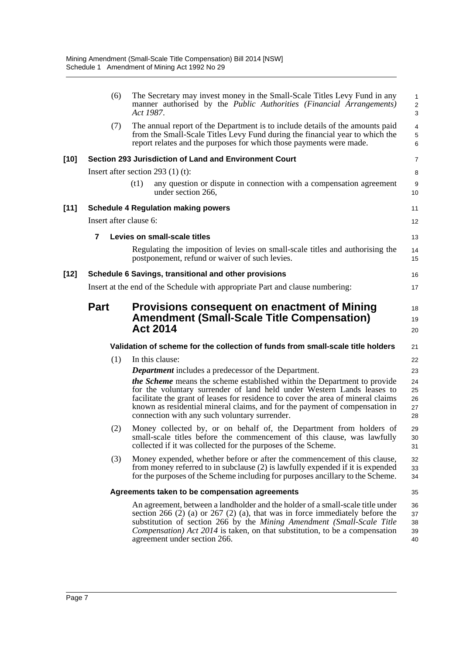|        | (6)                    | The Secretary may invest money in the Small-Scale Titles Levy Fund in any<br>manner authorised by the <i>Public Authorities (Financial Arrangements)</i><br>Act 1987.                                                                                                                                                                                                         | $\overline{\mathbf{c}}$<br>3 |
|--------|------------------------|-------------------------------------------------------------------------------------------------------------------------------------------------------------------------------------------------------------------------------------------------------------------------------------------------------------------------------------------------------------------------------|------------------------------|
|        | (7)                    | The annual report of the Department is to include details of the amounts paid<br>from the Small-Scale Titles Levy Fund during the financial year to which the<br>report relates and the purposes for which those payments were made.                                                                                                                                          | 4<br>5<br>6                  |
| [10]   |                        | Section 293 Jurisdiction of Land and Environment Court                                                                                                                                                                                                                                                                                                                        | 7                            |
|        |                        | Insert after section 293 $(1)$ (t):                                                                                                                                                                                                                                                                                                                                           | 8                            |
|        |                        | (t1)<br>any question or dispute in connection with a compensation agreement<br>under section 266,                                                                                                                                                                                                                                                                             | 9<br>10                      |
| $[11]$ |                        | <b>Schedule 4 Regulation making powers</b>                                                                                                                                                                                                                                                                                                                                    | 11                           |
|        | Insert after clause 6: |                                                                                                                                                                                                                                                                                                                                                                               | 12                           |
|        | 7                      | Levies on small-scale titles                                                                                                                                                                                                                                                                                                                                                  | 13                           |
|        |                        | Regulating the imposition of levies on small-scale titles and authorising the<br>postponement, refund or waiver of such levies.                                                                                                                                                                                                                                               | 14<br>15                     |
| [12]   |                        | Schedule 6 Savings, transitional and other provisions                                                                                                                                                                                                                                                                                                                         | 16                           |
|        |                        | Insert at the end of the Schedule with appropriate Part and clause numbering:                                                                                                                                                                                                                                                                                                 | 17                           |
|        | <b>Part</b>            | Provisions consequent on enactment of Mining<br><b>Amendment (Small-Scale Title Compensation)</b>                                                                                                                                                                                                                                                                             | 18<br>19                     |
|        |                        | <b>Act 2014</b>                                                                                                                                                                                                                                                                                                                                                               | 20                           |
|        |                        | Validation of scheme for the collection of funds from small-scale title holders                                                                                                                                                                                                                                                                                               | 21                           |
|        | (1)                    | In this clause:                                                                                                                                                                                                                                                                                                                                                               | 22                           |
|        |                        | <b>Department</b> includes a predecessor of the Department.                                                                                                                                                                                                                                                                                                                   | 23                           |
|        |                        | <i>the Scheme</i> means the scheme established within the Department to provide<br>for the voluntary surrender of land held under Western Lands leases to<br>facilitate the grant of leases for residence to cover the area of mineral claims<br>known as residential mineral claims, and for the payment of compensation in<br>connection with any such voluntary surrender. | 24<br>25<br>26<br>27<br>28   |
|        | (2)                    | Money collected by, or on behalf of, the Department from holders of<br>small-scale titles before the commencement of this clause, was lawfully<br>collected if it was collected for the purposes of the Scheme.                                                                                                                                                               | 29<br>30<br>31               |
|        | (3)                    | Money expended, whether before or after the commencement of this clause,<br>from money referred to in subclause (2) is lawfully expended if it is expended<br>for the purposes of the Scheme including for purposes ancillary to the Scheme.                                                                                                                                  | 32<br>33<br>34               |
|        |                        | Agreements taken to be compensation agreements                                                                                                                                                                                                                                                                                                                                | 35                           |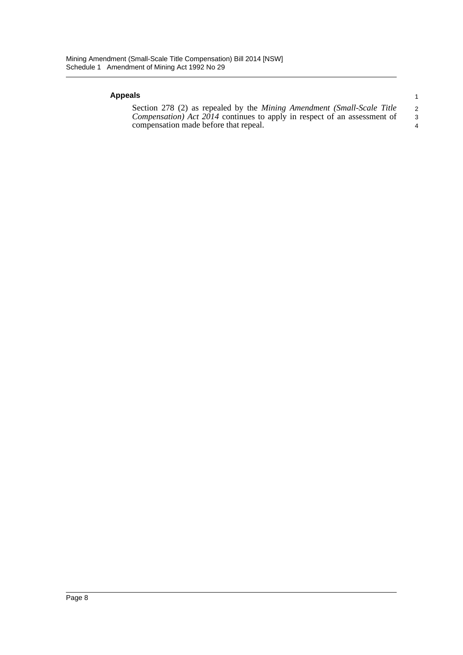#### **Appeals**

Section 278 (2) as repealed by the *Mining Amendment (Small-Scale Title Compensation) Act 2014* continues to apply in respect of an assessment of compensation made before that repeal. 2 3 4

1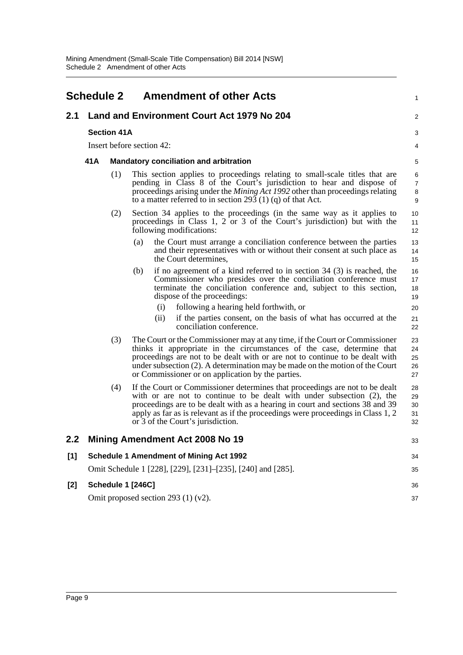<span id="page-12-0"></span>

|     | <b>Schedule 2</b>  |     | <b>Amendment of other Acts</b>                                                                                                                                                                                                                                                                                                                                             | 1                             |  |
|-----|--------------------|-----|----------------------------------------------------------------------------------------------------------------------------------------------------------------------------------------------------------------------------------------------------------------------------------------------------------------------------------------------------------------------------|-------------------------------|--|
| 2.1 |                    |     | Land and Environment Court Act 1979 No 204                                                                                                                                                                                                                                                                                                                                 | $\overline{2}$                |  |
|     | <b>Section 41A</b> |     |                                                                                                                                                                                                                                                                                                                                                                            |                               |  |
|     |                    |     | Insert before section 42:                                                                                                                                                                                                                                                                                                                                                  | 4                             |  |
|     | 41A                |     | <b>Mandatory conciliation and arbitration</b>                                                                                                                                                                                                                                                                                                                              | 5                             |  |
|     |                    | (1) | This section applies to proceedings relating to small-scale titles that are<br>pending in Class 8 of the Court's jurisdiction to hear and dispose of<br>proceedings arising under the <i>Mining Act 1992</i> other than proceedings relating<br>to a matter referred to in section 293 (1) (q) of that Act.                                                                | 6<br>$\overline{7}$<br>8<br>9 |  |
|     |                    | (2) | Section 34 applies to the proceedings (in the same way as it applies to<br>proceedings in Class 1, 2 or 3 of the Court's jurisdiction) but with the<br>following modifications:                                                                                                                                                                                            | 10<br>11<br>12                |  |
|     |                    |     | the Court must arrange a conciliation conference between the parties<br>(a)<br>and their representatives with or without their consent at such place as<br>the Court determines,                                                                                                                                                                                           | 13<br>14<br>15                |  |
|     |                    |     | if no agreement of a kind referred to in section $34$ (3) is reached, the<br>(b)<br>Commissioner who presides over the conciliation conference must<br>terminate the conciliation conference and, subject to this section,<br>dispose of the proceedings:                                                                                                                  | 16<br>17<br>18<br>19          |  |
|     |                    |     | following a hearing held forthwith, or<br>(i)                                                                                                                                                                                                                                                                                                                              | 20                            |  |
|     |                    |     | if the parties consent, on the basis of what has occurred at the<br>(ii)<br>conciliation conference.                                                                                                                                                                                                                                                                       | 21<br>22                      |  |
|     |                    | (3) | The Court or the Commissioner may at any time, if the Court or Commissioner<br>thinks it appropriate in the circumstances of the case, determine that<br>proceedings are not to be dealt with or are not to continue to be dealt with<br>under subsection (2). A determination may be made on the motion of the Court<br>or Commissioner or on application by the parties. | 23<br>24<br>25<br>26<br>27    |  |
|     |                    | (4) | If the Court or Commissioner determines that proceedings are not to be dealt<br>with or are not to continue to be dealt with under subsection (2), the<br>proceedings are to be dealt with as a hearing in court and sections 38 and 39<br>apply as far as is relevant as if the proceedings were proceedings in Class 1, 2<br>or 3 of the Court's jurisdiction.           | 28<br>29<br>30<br>31<br>32    |  |
| 2.2 |                    |     | <b>Mining Amendment Act 2008 No 19</b>                                                                                                                                                                                                                                                                                                                                     | 33                            |  |
| [1] |                    |     | <b>Schedule 1 Amendment of Mining Act 1992</b>                                                                                                                                                                                                                                                                                                                             | 34                            |  |
|     |                    |     | Omit Schedule 1 [228], [229], [231]–[235], [240] and [285].                                                                                                                                                                                                                                                                                                                | 35                            |  |
| [2] |                    |     | Schedule 1 [246C]                                                                                                                                                                                                                                                                                                                                                          | 36                            |  |
|     |                    |     | Omit proposed section 293 $(1)$ (v2).                                                                                                                                                                                                                                                                                                                                      | 37                            |  |